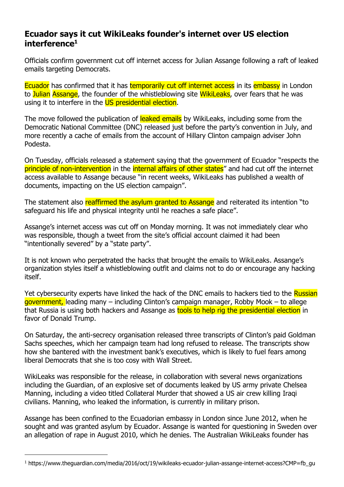## **Ecuador says it cut WikiLeaks founder's internet over US election interference<sup>1</sup>**

Officials confirm government cut off internet access for Julian Assange following a raft of leaked emails targeting Democrats.

Ecuador has confirmed that it has temporarily cut off internet access in its embassy in London to Julian Assange, the founder of the whistleblowing site WikiLeaks, over fears that he was using it to interfere in the US presidential election.

The move followed the publication of leaked emails by WikiLeaks, including some from the Democratic National Committee (DNC) released just before the party's convention in July, and more recently a cache of emails from the account of Hillary Clinton campaign adviser John Podesta.

On Tuesday, officials released a statement saying that the government of Ecuador "respects the principle of non-intervention in the internal affairs of other states" and had cut off the internet access available to Assange because "in recent weeks, WikiLeaks has published a wealth of documents, impacting on the US election campaign".

The statement also reaffirmed the asylum granted to Assange and reiterated its intention "to safeguard his life and physical integrity until he reaches a safe place".

Assange's internet access was cut off on Monday morning. It was not immediately clear who was responsible, though a tweet from the site's official account claimed it had been "intentionally severed" by a "state party".

It is not known who perpetrated the hacks that brought the emails to WikiLeaks. Assange's organization styles itself a whistleblowing outfit and claims not to do or encourage any hacking itself.

Yet cybersecurity experts have linked the hack of the DNC emails to hackers tied to the Russian government, leading many – including Clinton's campaign manager, Robby Mook – to allege that Russia is using both hackers and Assange as tools to help rig the presidential election in favor of Donald Trump.

On Saturday, the anti-secrecy organisation released three transcripts of Clinton's paid Goldman Sachs speeches, which her campaign team had long refused to release. The transcripts show how she bantered with the investment bank's executives, which is likely to fuel fears among liberal Democrats that she is too cosy with Wall Street.

WikiLeaks was responsible for the release, in collaboration with several news organizations including the Guardian, of an explosive set of documents leaked by US army private Chelsea Manning, including a video titled Collateral Murder that showed a US air crew killing Iraqi civilians. Manning, who leaked the information, is currently in military prison.

Assange has been confined to the Ecuadorian embassy in London since June 2012, when he sought and was granted asylum by Ecuador. Assange is wanted for questioning in Sweden over an allegation of rape in August 2010, which he denies. The Australian WikiLeaks founder has

 $\overline{a}$ 

<sup>1</sup> https://www.theguardian.com/media/2016/oct/19/wikileaks-ecuador-julian-assange-internet-access?CMP=fb\_gu